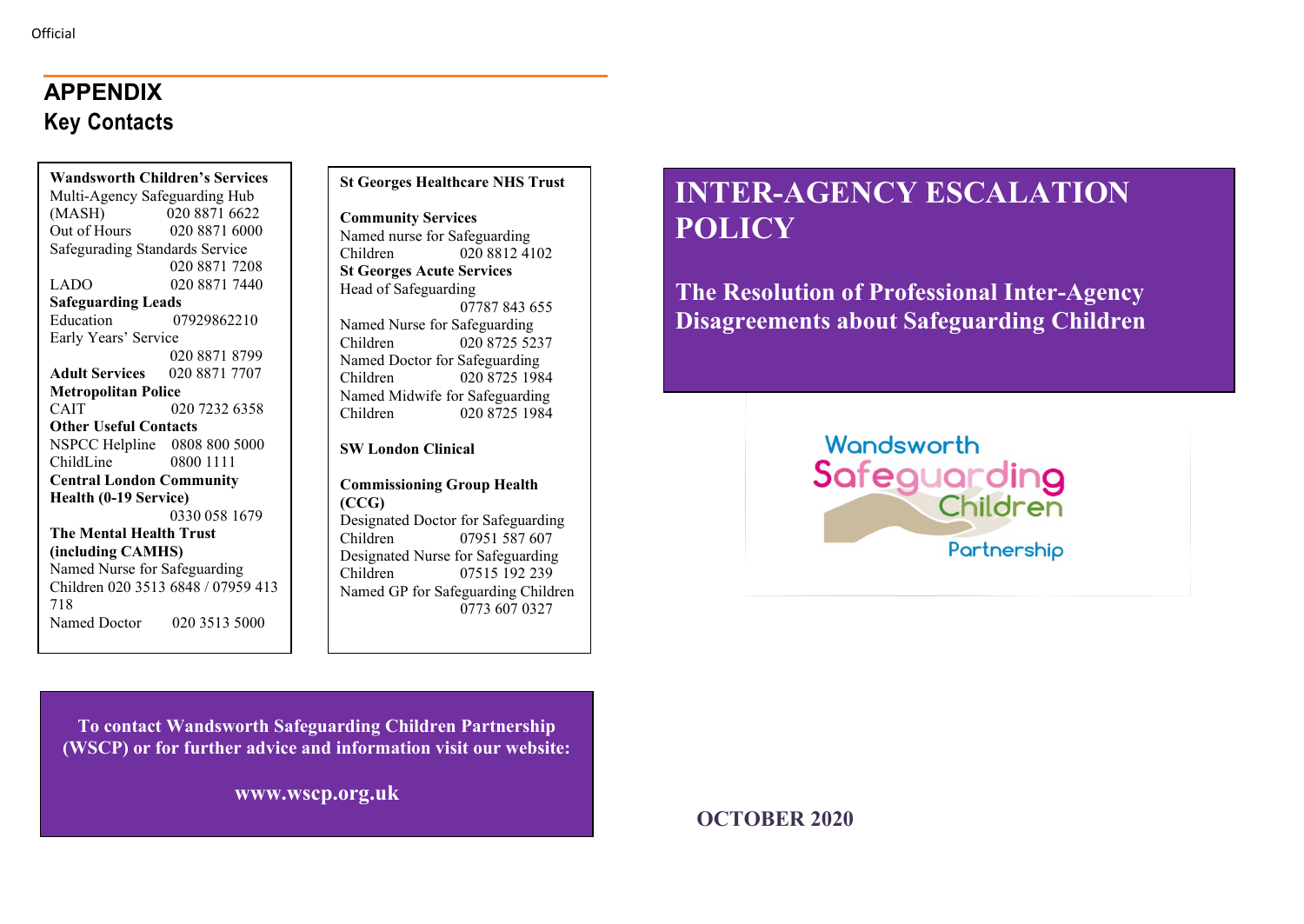ֺ֝֡

# **APPENDIX Key Contacts**

**Wandsworth Children's Services**  Multi-Agency Safeguarding Hub (MASH) 020 8871 6622 Out of Hours 020 8871 6000 Safegurading Standards Service 020 8871 7208 LADO 020 8871 7440 **Safeguarding Leads** Education 07929862210 Early Years' Service 020 8871 8799 **Adult Services** 020 8871 7707 **Metropolitan Police** CAIT 020 7232 6358 **Other Useful Contacts**  NSPCC Helpline 0808 800 5000 ChildLine 0800 1111 **Central London Community Health (0-19 Service)** 0330 058 1679 **The Mental Health Trust (including CAMHS)**  Named Nurse for Safeguarding Children 020 3513 6848 / 07959 413 718 Named Doctor 020 3513 5000

#### **St Georges Healthcare NHS Trust**

**Community Services** Named nurse for Safeguarding Children 020 8812 4102 **St Georges Acute Services** Head of Safeguarding 07787 843 655 Named Nurse for Safeguarding Children 020 8725 5237 Named Doctor for Safeguarding Children 020 8725 1984 Named Midwife for Safeguarding Children 020 8725 1984

**SW London Clinical** 

**Commissioning Group Health (CCG)** Designated Doctor for Safeguarding Children 07951 587 607 Designated Nurse for Safeguarding Children 07515 192 239 Named GP for Safeguarding Children 0773 607 0327

# **INTER-AGENCY ESCALATION POLICY**

**The Resolution of Professional Inter-Agency Disagreements about Safeguarding Children** 



**To contact Wandsworth Safeguarding Children Partnership (WSCP) or for further advice and information visit our website:**

**www.wscp.org.uk**

**OCTOBER 2020**